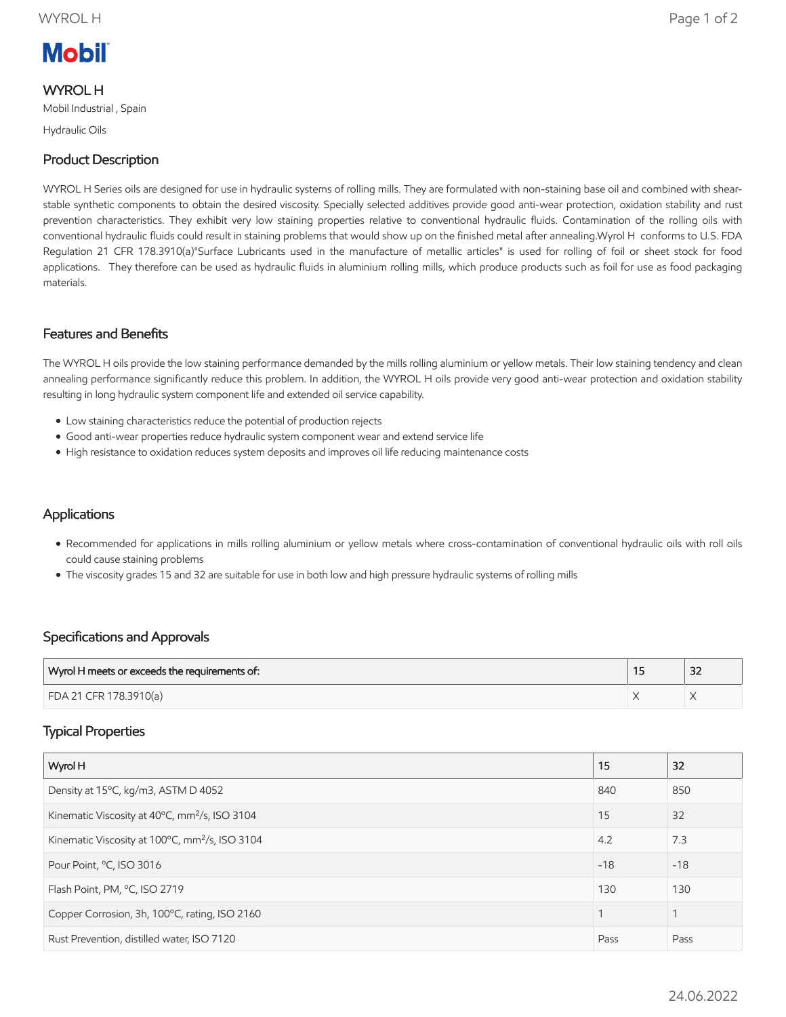# **Mobil**

#### WYROL H

Mobil Industrial , Spain

Hydraulic Oils

## Product Description

WYROL H Series oils are designed for use in hydraulic systems of rolling mills. They are formulated with non-staining base oil and combined with shearstable synthetic components to obtain the desired viscosity. Specially selected additives provide good anti-wear protection, oxidation stability and rust prevention characteristics. They exhibit very low staining properties relative to conventional hydraulic fluids. Contamination of the rolling oils with conventional hydraulic fluids could result in staining problems that would show up on the finished metal after annealing.Wyrol H conforms to U.S. FDA Regulation 21 CFR 178.3910(a)"Surface Lubricants used in the manufacture of metallic articles" is used for rolling of foil or sheet stock for food applications. They therefore can be used as hydraulic fluids in aluminium rolling mills, which produce products such as foil for use as food packaging materials.

#### Features and Benefits

The WYROL H oils provide the low staining performance demanded by the mills rolling aluminium or yellow metals. Their low staining tendency and clean annealing performance significantly reduce this problem. In addition, the WYROL H oils provide very good anti-wear protection and oxidation stability resulting in long hydraulic system component life and extended oil service capability.

- Low staining characteristics reduce the potential of production rejects
- Good anti-wear properties reduce hydraulic system component wear and extend service life
- High resistance to oxidation reduces system deposits and improves oil life reducing maintenance costs

#### **Applications**

- Recommended for applications in mills rolling aluminium or yellow metals where cross-contamination of conventional hydraulic oils with roll oils could cause staining problems
- The viscosity grades 15 and 32 are suitable for use in both low and high pressure hydraulic systems of rolling mills

#### Specifications and Approvals

| Wyrol H meets or exceeds the requirements of: | $\sim$<br>ےر |
|-----------------------------------------------|--------------|
| FDA 21 CFR 178.3910(a)                        |              |

#### Typical Properties

| Wyrol H                                                    | 15    | 32    |
|------------------------------------------------------------|-------|-------|
| Density at 15°C, kg/m3, ASTM D 4052                        | 840   | 850   |
| Kinematic Viscosity at 40°C, mm <sup>2</sup> /s, ISO 3104  | 15    | 32    |
| Kinematic Viscosity at 100°C, mm <sup>2</sup> /s, ISO 3104 | 4.2   | 7.3   |
| Pour Point, °C, ISO 3016                                   | $-18$ | $-18$ |
| Flash Point, PM, °C, ISO 2719                              | 130   | 130   |
| Copper Corrosion, 3h, 100°C, rating, ISO 2160              |       |       |
| Rust Prevention, distilled water, ISO 7120                 | Pass  | Pass  |